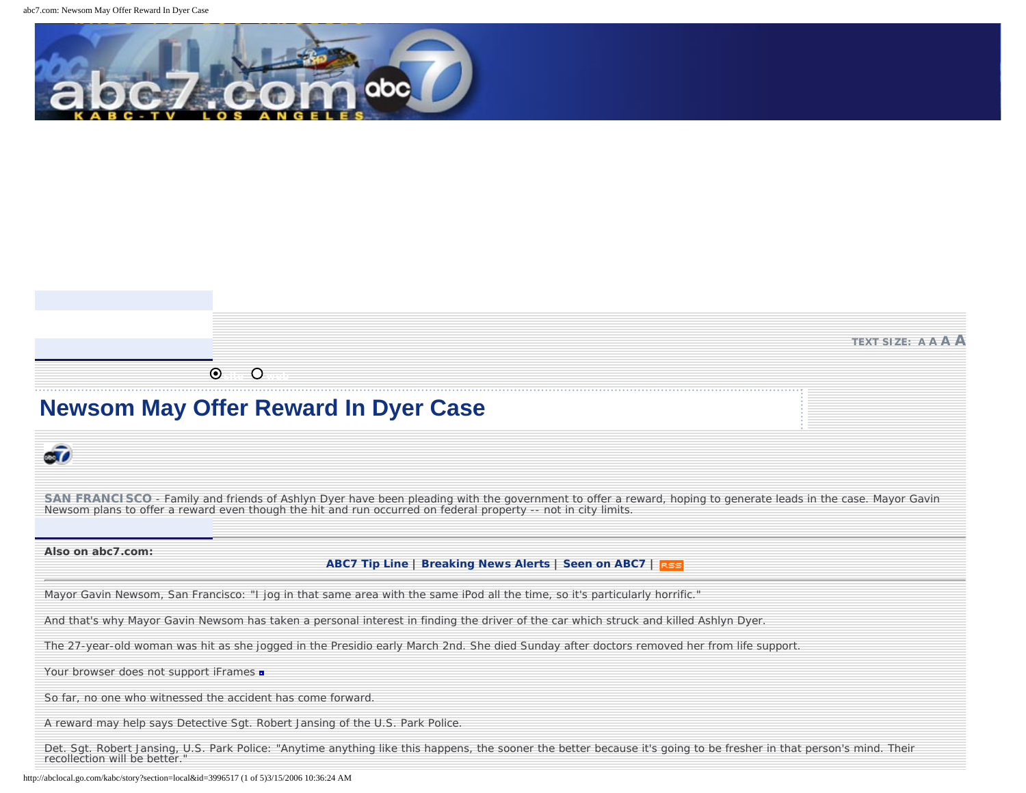

## **TEXT SIZE: [A](http://abclocal.go.com/kabc/story?section=local&id=3996517&ft=sm) [A](http://abclocal.go.com/kabc/story?section=local&id=3996517&ft=med) [A](http://abclocal.go.com/kabc/story?section=local&id=3996517&ft=lg) [A](http://abclocal.go.com/kabc/story?section=local&id=3996517&ft=exLg)**

**b** site web  $\bullet$ 

## **Newsom May Offer Reward In Dyer Case**

# Sī0

SAN FRANCISCO - Family and friends of Ashlyn Dyer have been pleading with the government to offer a reward, hoping to generate leads in the case. Mayor Gavin Newsom plans to offer a reward even though the hit and run occurred on federal property -- not in city limits.

#### **Also on abc7.com:**

## **[ABC7 Tip Line](http://abclocal.go.com/kabc/story?section=resources&id=145271) | [Breaking News Alerts](http://abclocal.go.com/kabc/story?section=seenon&id=3286423) | [Seen on ABC7](http://abclocal.go.com/kabc/index?section=seenon&id=3378295) |**

Mayor Gavin Newsom, San Francisco: "I jog in that same area with the same iPod all the time, so it's particularly horrific."

And that's why Mayor Gavin Newsom has taken a personal interest in finding the driver of the car which struck and killed Ashlyn Dyer.

The 27-year-old woman was hit as she jogged in the Presidio early March 2nd. She died Sunday after doctors removed her from life support.

Your browser does not support iFrames  $\blacksquare$ 

So far, no one who witnessed the accident has come forward.

A reward may help says Detective Sgt. Robert Jansing of the U.S. Park Police.

Det. Sgt. Robert Jansing, U.S. Park Police: "Anytime anything like this happens, the sooner the better because it's going to be fresher in that person's mind. Their recollection will be better.